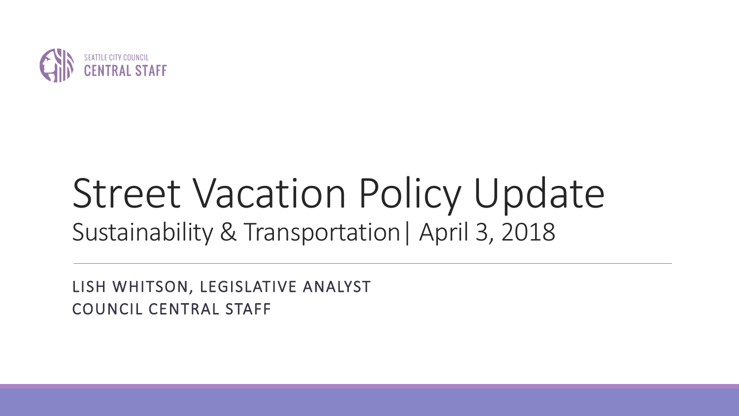

# Street Vacation Policy Update Sustainability & Transportation| April 3, 2018

LISH WHITSON, LEGISLATIVE ANALYST COUNCIL CENTRAL STAFF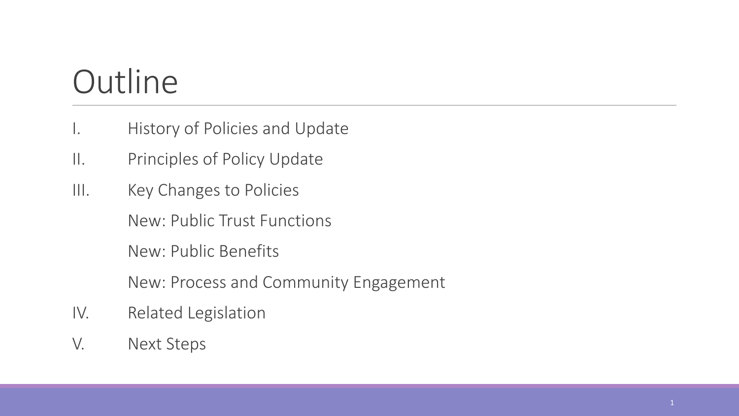## **Outline**

- I. History of Policies and Update
- II. Principles of Policy Update
- III. Key Changes to Policies

New: Public Trust Functions

New: Public Benefits

New: Process and Community Engagement

- IV. Related Legislation
- V. Next Steps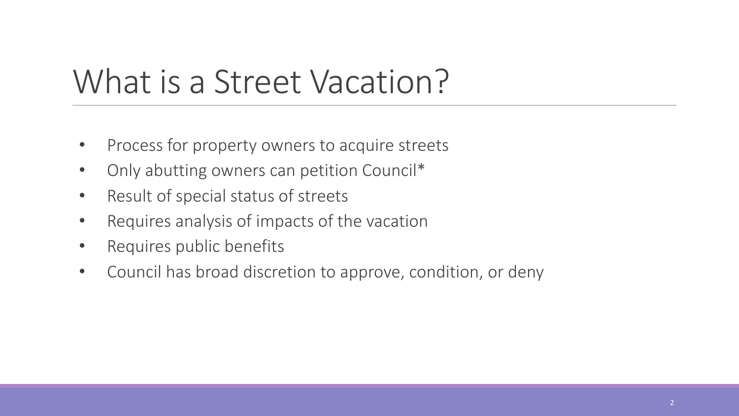### What is a Street Vacation?

- Process for property owners to acquire streets
- Only abutting owners can petition Council\*
- Result of special status of streets
- Requires analysis of impacts of the vacation
- Requires public benefits
- Council has broad discretion to approve, condition, or deny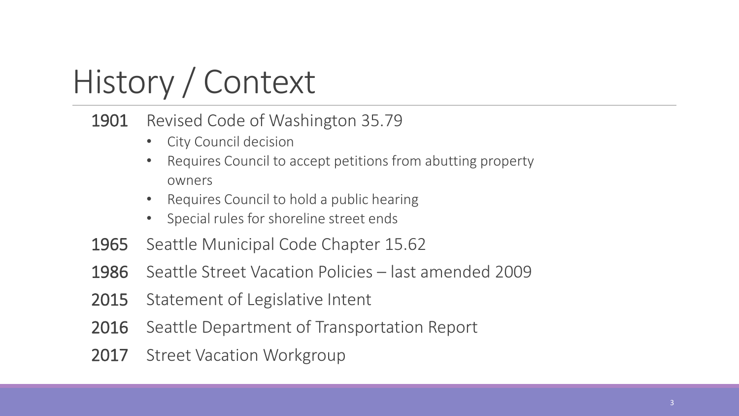# History / Context

#### 1901 Revised Code of Washington 35.79

- City Council decision
- Requires Council to accept petitions from abutting property owners
- Requires Council to hold a public hearing
- Special rules for shoreline street ends
- 1965 Seattle Municipal Code Chapter 15.62
- 1986 Seattle Street Vacation Policies last amended 2009
- 2015 Statement of Legislative Intent
- 2016 Seattle Department of Transportation Report
- 2017 Street Vacation Workgroup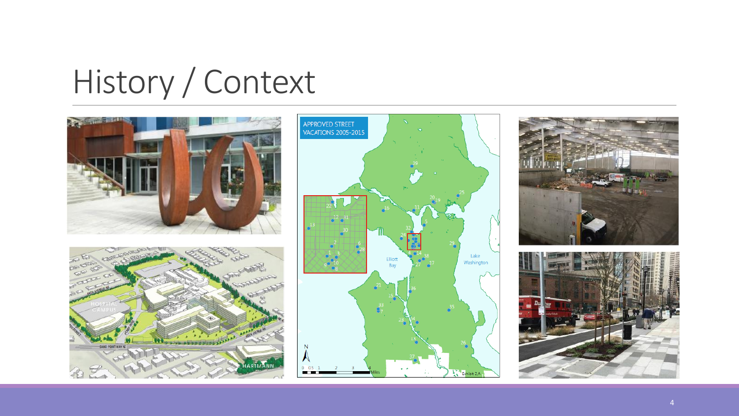# History / Context









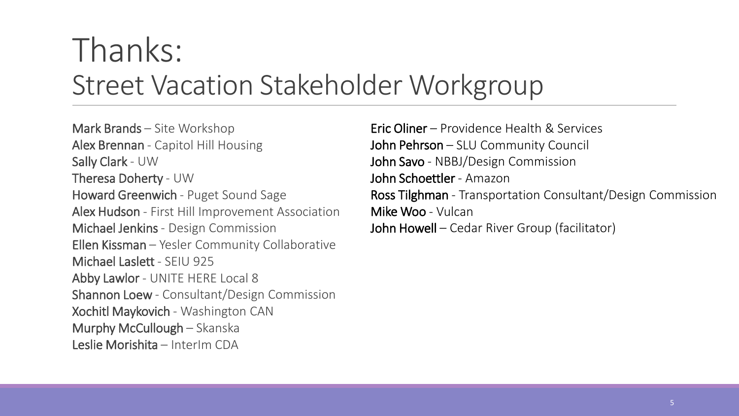### Thanks: Street Vacation Stakeholder Workgroup

Mark Brands – Site Workshop Alex Brennan - Capitol Hill Housing Sally Clark - UW Theresa Doherty - UW Howard Greenwich - Puget Sound Sage Alex Hudson - First Hill Improvement Association Michael Jenkins - Design Commission Ellen Kissman – Yesler Community Collaborative Michael Laslett - SEIU 925 Abby Lawlor - UNITE HERE Local 8 Shannon Loew - Consultant/Design Commission Xochitl Maykovich - Washington CAN Murphy McCullough – Skanska Leslie Morishita – InterIm CDA

Eric Oliner – Providence Health & Services John Pehrson – SLU Community Council John Savo - NBBJ/Design Commission John Schoettler - Amazon Ross Tilghman - Transportation Consultant/Design Commission Mike Woo - Vulcan John Howell – Cedar River Group (facilitator)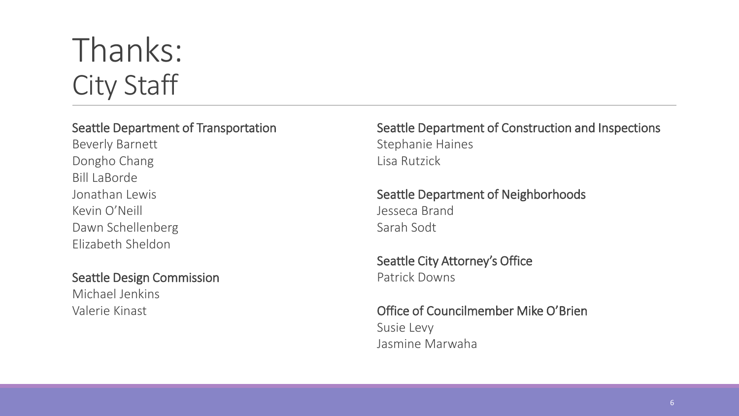### Thanks: City Staff

#### Seattle Department of Transportation

Beverly Barnett Dongho Chang Bill LaBorde Jonathan Lewis Kevin O'Neill Dawn Schellenberg Elizabeth Sheldon

#### Seattle Design Commission

Michael Jenkins Valerie Kinast

Seattle Department of Construction and Inspections Stephanie Haines Lisa Rutzick

Seattle Department of Neighborhoods Jesseca Brand Sarah Sodt

Seattle City Attorney's Office Patrick Downs

Office of Councilmember Mike O'Brien Susie Levy Jasmine Marwaha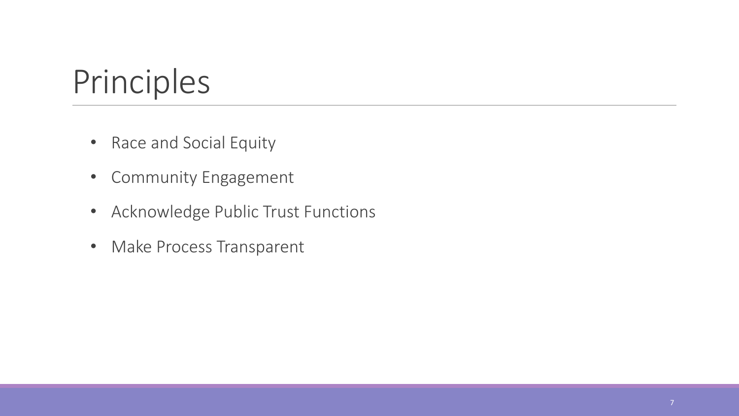## Principles

- Race and Social Equity
- Community Engagement
- Acknowledge Public Trust Functions
- Make Process Transparent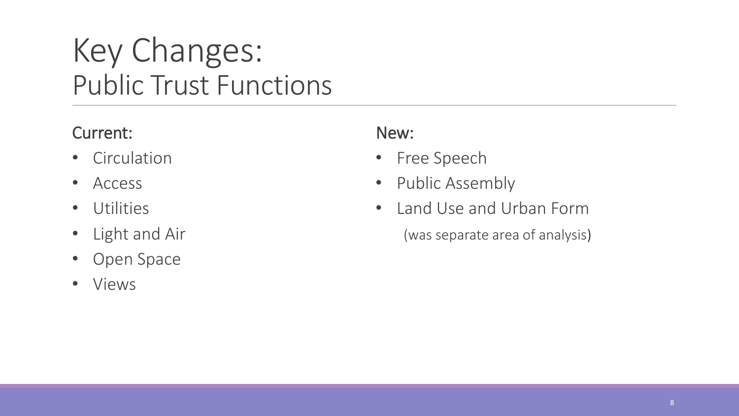### Key Changes: Public Trust Functions

#### Current:

- Circulation
- Access
- Utilities
- Light and Air
- Open Space
- Views

#### New:

- Free Speech
- Public Assembly
- Land Use and Urban Form

(was separate area of analysis)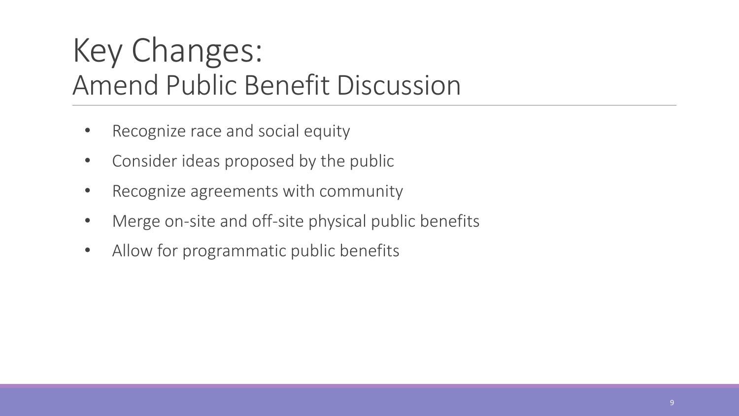### Key Changes: Amend Public Benefit Discussion

- Recognize race and social equity
- Consider ideas proposed by the public
- Recognize agreements with community
- Merge on-site and off-site physical public benefits
- Allow for programmatic public benefits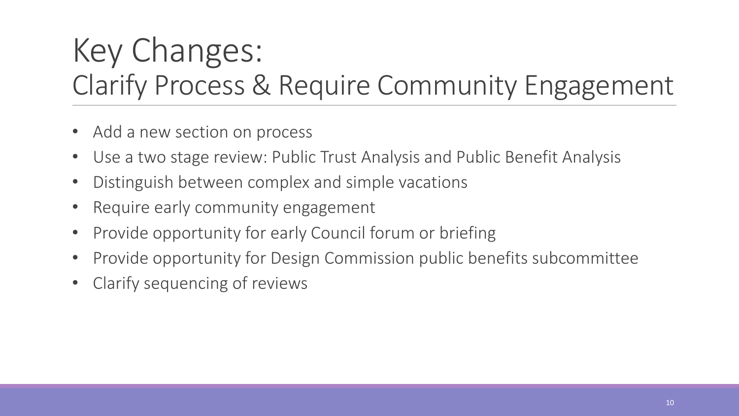### Key Changes: Clarify Process & Require Community Engagement

- Add a new section on process
- Use a two stage review: Public Trust Analysis and Public Benefit Analysis
- Distinguish between complex and simple vacations
- Require early community engagement
- Provide opportunity for early Council forum or briefing
- Provide opportunity for Design Commission public benefits subcommittee
- Clarify sequencing of reviews